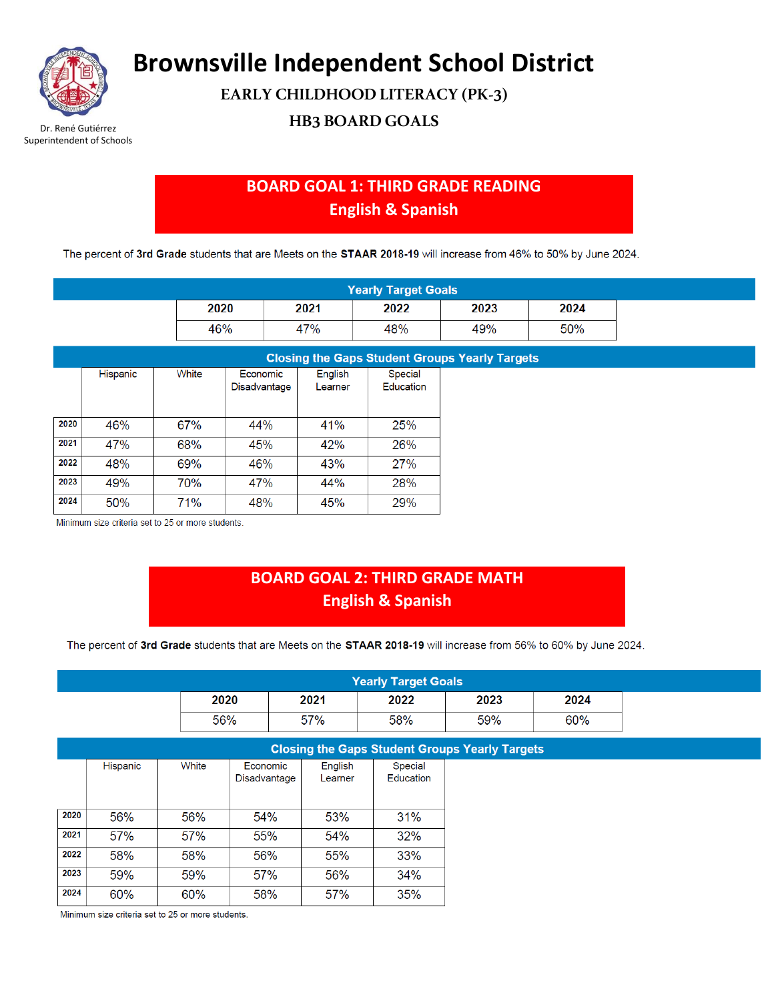

Superintendent of Schools

**Brownsville Independent School District**

**EARLY CHILDHOOD LITERACY (PK-3)**

**Dr. René Gutiérrez HB3 BOARD GOALS** 

## **BOARD GOAL 1: THIRD GRADE READING English & Spanish**

The percent of 3rd Grade students that are Meets on the STAAR 2018-19 will increase from 46% to 50% by June 2024.

| <b>Yearly Target Goals</b> |      |      |      |      |  |  |  |  |  |
|----------------------------|------|------|------|------|--|--|--|--|--|
| 2020                       | 2021 | 2022 | 2023 | 2024 |  |  |  |  |  |
| 46%                        | 7%   | 48%  | 49%  | 50%  |  |  |  |  |  |

|      | <b>Closing the Gaps Student Groups Yearly Targets</b> |       |              |         |            |  |  |  |  |  |  |
|------|-------------------------------------------------------|-------|--------------|---------|------------|--|--|--|--|--|--|
|      | Hispanic                                              | White | Economic     | English | Special    |  |  |  |  |  |  |
|      |                                                       |       | Disadvantage | Learner | Education  |  |  |  |  |  |  |
|      |                                                       |       |              |         |            |  |  |  |  |  |  |
| 2020 | 46%                                                   | 67%   | 44%          | 41%     | <b>25%</b> |  |  |  |  |  |  |
| 2021 | 47%                                                   | 68%   | 45%          | 42%     | 26%        |  |  |  |  |  |  |
| 2022 | 48%                                                   | 69%   | 46%          | 43%     | 27%        |  |  |  |  |  |  |
| 2023 | 49%                                                   | 70%   | 47%          | 44%     | 28%        |  |  |  |  |  |  |
| 2024 | 50%                                                   | 71%   | 48%          | 45%     | 29%        |  |  |  |  |  |  |

Minimum size criteria set to 25 or more students.

### **BOARD GOAL 2: THIRD GRADE MATH English & Spanish**

The percent of 3rd Grade students that are Meets on the STAAR 2018-19 will increase from 56% to 60% by June 2024.

| <b>Yearly Target Goals</b> |      |      |      |      |      |  |  |  |
|----------------------------|------|------|------|------|------|--|--|--|
|                            | 2020 | 2021 | 2022 | 2023 | 2024 |  |  |  |
|                            | 56%  | 57%  | 58%  | 59%  | 60%  |  |  |  |

|      | <b>Closing the Gaps Student Groups Yearly Targets</b> |       |                          |                    |                      |  |  |  |  |
|------|-------------------------------------------------------|-------|--------------------------|--------------------|----------------------|--|--|--|--|
|      | Hispanic                                              | White | Economic<br>Disadvantage | English<br>Learner | Special<br>Education |  |  |  |  |
|      |                                                       |       |                          |                    |                      |  |  |  |  |
| 2020 | 56%                                                   | 56%   | 54%                      | 53%                | 31%                  |  |  |  |  |
| 2021 | 57%                                                   | 57%   | 55%                      | 54%                | 32%                  |  |  |  |  |
| 2022 | 58%                                                   | 58%   | 56%                      | 55%                | 33%                  |  |  |  |  |
| 2023 | 59%                                                   | 59%   | 57%                      | 56%                | 34%                  |  |  |  |  |
| 2024 | 60%                                                   | 60%   | 58%                      | 57%                | 35%                  |  |  |  |  |

Minimum size criteria set to 25 or more students.